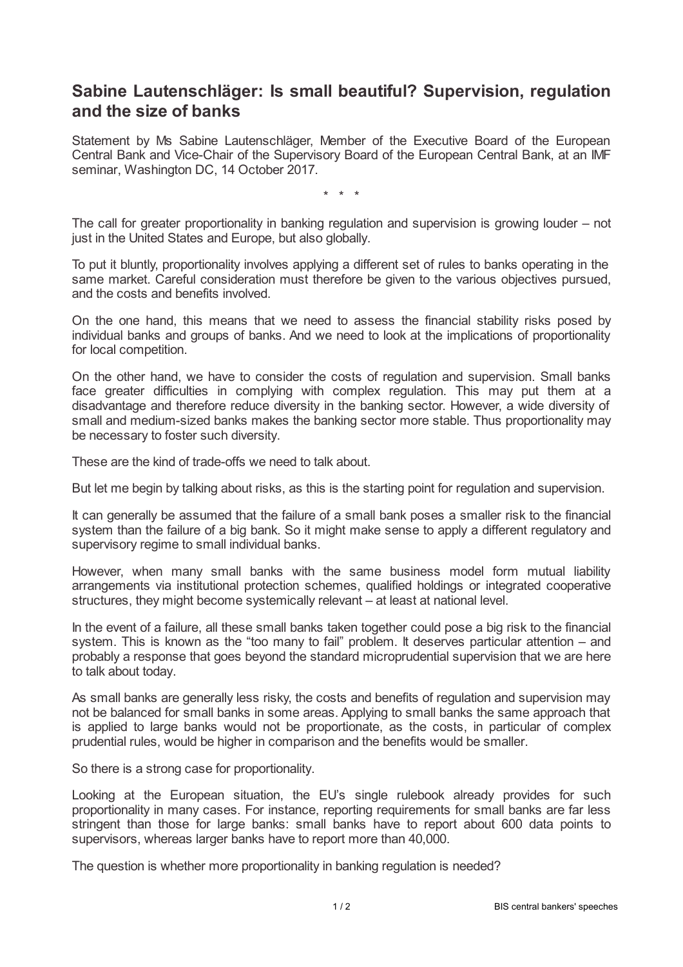## **Sabine Lautenschläger: Is small beautiful? Supervision, regulation and the size of banks**

Statement by Ms Sabine Lautenschläger, Member of the Executive Board of the European Central Bank and Vice-Chair of the Supervisory Board of the European Central Bank, at an IMF seminar, Washington DC, 14 October 2017.

\* \* \*

The call for greater proportionality in banking regulation and supervision is growing louder – not just in the United States and Europe, but also globally.

To put it bluntly, proportionality involves applying a different set of rules to banks operating in the same market. Careful consideration must therefore be given to the various objectives pursued, and the costs and benefits involved.

On the one hand, this means that we need to assess the financial stability risks posed by individual banks and groups of banks. And we need to look at the implications of proportionality for local competition.

On the other hand, we have to consider the costs of regulation and supervision. Small banks face greater difficulties in complying with complex regulation. This may put them at a disadvantage and therefore reduce diversity in the banking sector. However, a wide diversity of small and medium-sized banks makes the banking sector more stable. Thus proportionality may be necessary to foster such diversity.

These are the kind of trade-offs we need to talk about.

But let me begin by talking about risks, as this is the starting point for regulation and supervision.

It can generally be assumed that the failure of a small bank poses a smaller risk to the financial system than the failure of a big bank. So it might make sense to apply a different regulatory and supervisory regime to small individual banks.

However, when many small banks with the same business model form mutual liability arrangements via institutional protection schemes, qualified holdings or integrated cooperative structures, they might become systemically relevant – at least at national level.

In the event of a failure, all these small banks taken together could pose a big risk to the financial system. This is known as the "too many to fail" problem. It deserves particular attention – and probably a response that goes beyond the standard microprudential supervision that we are here to talk about today.

As small banks are generally less risky, the costs and benefits of regulation and supervision may not be balanced for small banks in some areas. Applying to small banks the same approach that is applied to large banks would not be proportionate, as the costs, in particular of complex prudential rules, would be higher in comparison and the benefits would be smaller.

So there is a strong case for proportionality.

Looking at the European situation, the EU's single rulebook already provides for such proportionality in many cases. For instance, reporting requirements for small banks are far less stringent than those for large banks: small banks have to report about 600 data points to supervisors, whereas larger banks have to report more than 40,000.

The question is whether more proportionality in banking regulation is needed?